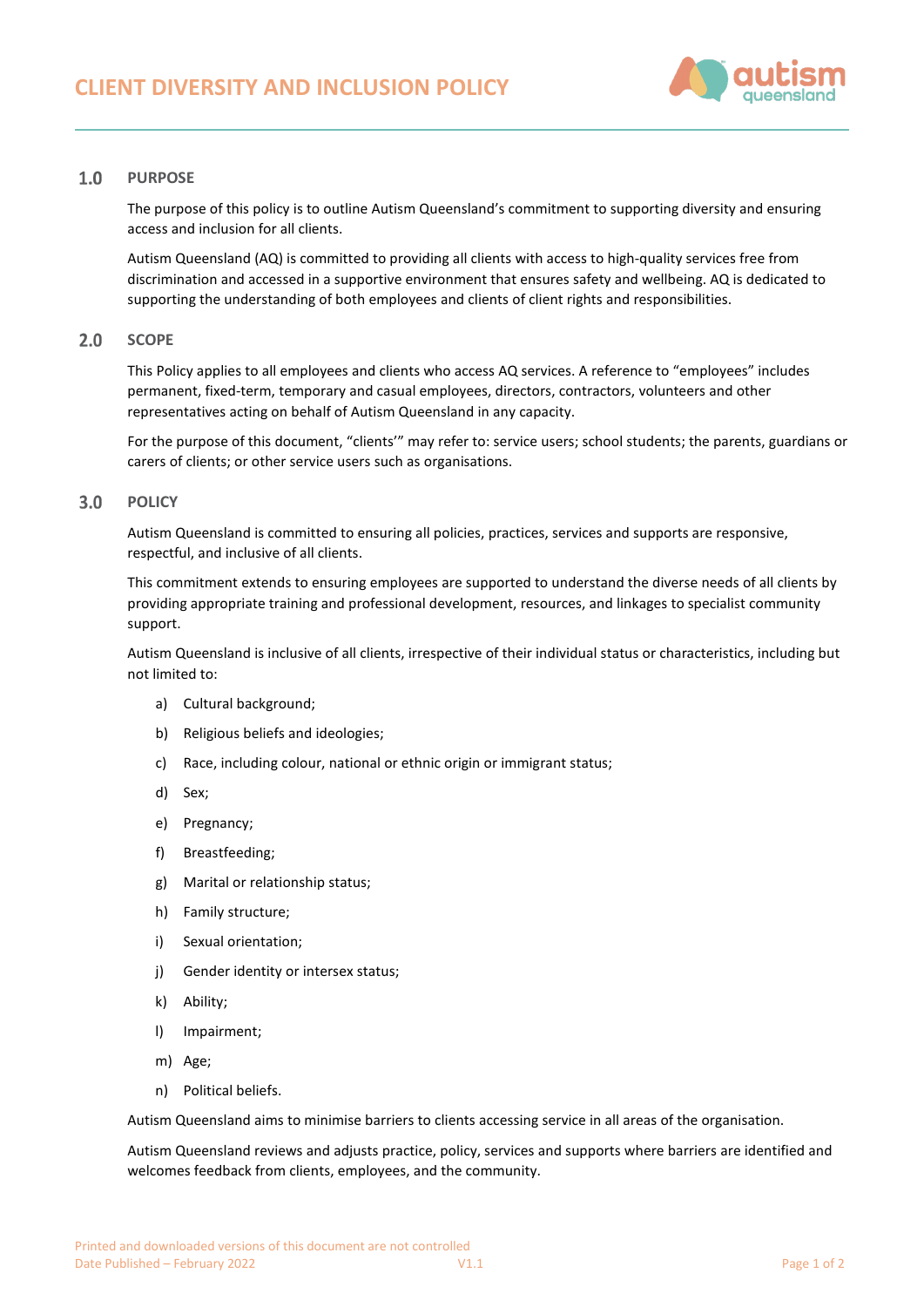

### **PURPOSE**  $1.0$

The purpose of this policy is to outline Autism Queensland's commitment to supporting diversity and ensuring access and inclusion for all clients.

Autism Queensland (AQ) is committed to providing all clients with access to high-quality services free from discrimination and accessed in a supportive environment that ensures safety and wellbeing. AQ is dedicated to supporting the understanding of both employees and clients of client rights and responsibilities.

#### $2.0$ **SCOPE**

This Policy applies to all employees and clients who access AQ services. A reference to "employees" includes permanent, fixed-term, temporary and casual employees, directors, contractors, volunteers and other representatives acting on behalf of Autism Queensland in any capacity.

For the purpose of this document, "clients'" may refer to: service users; school students; the parents, guardians or carers of clients; or other service users such as organisations.

#### $3.0$ **POLICY**

Autism Queensland is committed to ensuring all policies, practices, services and supports are responsive, respectful, and inclusive of all clients.

This commitment extends to ensuring employees are supported to understand the diverse needs of all clients by providing appropriate training and professional development, resources, and linkages to specialist community support.

Autism Queensland is inclusive of all clients, irrespective of their individual status or characteristics, including but not limited to:

- a) Cultural background;
- b) Religious beliefs and ideologies;
- c) Race, including colour, national or ethnic origin or immigrant status;
- d) Sex;
- e) Pregnancy;
- f) Breastfeeding;
- g) Marital or relationship status;
- h) Family structure;
- i) Sexual orientation;
- j) Gender identity or intersex status;
- k) Ability;
- l) Impairment;
- m) Age;
- n) Political beliefs.

Autism Queensland aims to minimise barriers to clients accessing service in all areas of the organisation.

Autism Queensland reviews and adjusts practice, policy, services and supports where barriers are identified and welcomes feedback from clients, employees, and the community.